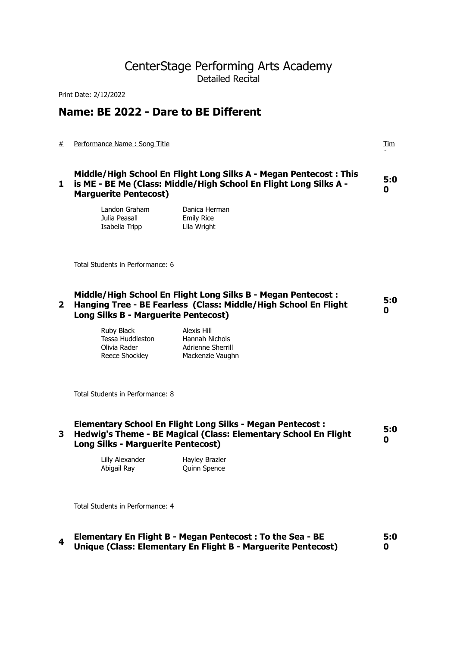# CenterStage Performing Arts Academy Detailed Recital

Print Date: 2/12/2022

# **Name: BE 2022 - Dare to BE Different**

# Performance Name : Song Title Tim

|  | Middle/High School En Flight Long Silks A - Megan Pentecost: This<br>1 is ME - BE Me (Class: Middle/High School En Flight Long Silks A -<br><b>Marquerite Pentecost)</b> | 5:0<br>0 |
|--|--------------------------------------------------------------------------------------------------------------------------------------------------------------------------|----------|
|--|--------------------------------------------------------------------------------------------------------------------------------------------------------------------------|----------|

| Landon Graham  | Danica Herman     |
|----------------|-------------------|
| Julia Peasall  | <b>Emily Rice</b> |
| Isabella Tripp | Lila Wright       |

Total Students in Performance: 6

# **2 Hanging Tree - BE Fearless (Class: Middle/High School En Flight Middle/High School En Flight Long Silks B - Megan Pentecost : Long Silks B - Marguerite Pentecost) 5:0 0**

Ruby Black Alexis Hill Tessa Huddleston Hannah Nichols Olivia Rader **Adrienne Sherrill** 

Reece Shockley Mackenzie Vaughn

Total Students in Performance: 8

# **3 Hedwig's Theme - BE Magical (Class: Elementary School En Flight Elementary School En Flight Long Silks - Megan Pentecost : Long Silks - Marguerite Pentecost) 5:0 0**

Lilly Alexander Hayley Brazier Abigail Ray **Quinn Spence** 

Total Students in Performance: 4

# **<sup>4</sup>Elementary En Flight B - Megan Pentecost : To the Sea - BE Unique (Class: Elementary En Flight B - Marguerite Pentecost) 5:0 0**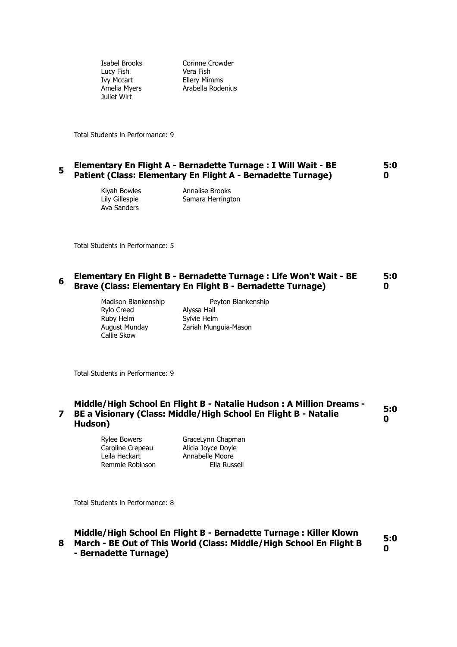Lucy Fish Vera Fish Juliet Wirt

Isabel Brooks Corinne Crowder Ivy Mccart Ellery Mimms Amelia Myers **Arabella Rodenius** 

Total Students in Performance: 9

## **<sup>5</sup>Elementary En Flight A - Bernadette Turnage : I Will Wait - BE Patient (Class: Elementary En Flight A - Bernadette Turnage) 5:0 0**

Ava Sanders

Kiyah Bowles Annalise Brooks Lily Gillespie Samara Herrington

Total Students in Performance: 5

# **6** Elementary En Flight B - Bernadette Turnage : Life Won't Wait - BE **Brave (Class: Elementary En Flight B - Bernadette Turnage) 5:0 0**

Madison Blankenship Peyton Blankenship Rylo Creed Alyssa Hall Ruby Helm Sylvie Helm Callie Skow

August Munday Zariah Munguia-Mason

Total Students in Performance: 9

# **7 BE a Visionary (Class: Middle/High School En Flight B - Natalie Middle/High School En Flight B - Natalie Hudson : A Million Dreams - Hudson) 5:0 0**

Rylee Bowers **GraceLynn Chapman** Caroline Crepeau Alicia Joyce Doyle Leila Heckart **Annabelle Moore** Remmie Robinson Ella Russell

Total Students in Performance: 8

**8 March - BE Out of This World (Class: Middle/High School En Flight B Middle/High School En Flight B - Bernadette Turnage : Killer Klown - Bernadette Turnage) 5:0 0**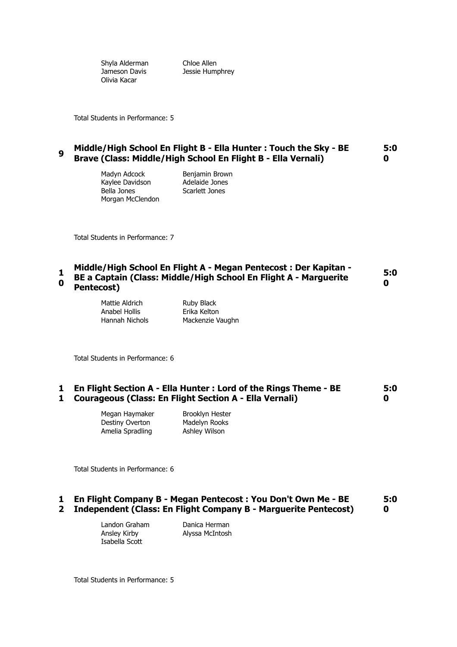Shyla Alderman Chloe Allen Olivia Kacar

Jameson Davis **Jessie Humphrey** 

Total Students in Performance: 5

## **<sup>9</sup>Middle/High School En Flight B - Ella Hunter : Touch the Sky - BE Brave (Class: Middle/High School En Flight B - Ella Vernali) 5:0 0**

Madyn Adcock Benjamin Brown Kaylee Davidson and Adelaide Jones<br>Bella Jones and Scarlett Jones Morgan McClendon

Scarlett Jones

Total Students in Performance: 7

#### **1 0 Middle/High School En Flight A - Megan Pentecost : Der Kapitan - BE a Captain (Class: Middle/High School En Flight A - Marguerite Pentecost) 5:0 0**

Mattie Aldrich Ruby Black Anabel Hollis Erika Kelton

Hannah Nichols Mackenzie Vaughn

Total Students in Performance: 6

#### **1 En Flight Section A - Ella Hunter : Lord of the Rings Theme - BE 1 Courageous (Class: En Flight Section A - Ella Vernali) 5:0 0**

Megan Haymaker Brooklyn Hester Destiny Overton Madelyn Rooks Amelia Spradling **Ashley Wilson** 

Total Students in Performance: 6

#### **1 2 Independent (Class: En Flight Company B - Marguerite Pentecost) En Flight Company B - Megan Pentecost : You Don't Own Me - BE 5:0 0**

Landon Graham Danica Herman Ansley Kirby Alyssa McIntosh Isabella Scott

Total Students in Performance: 5